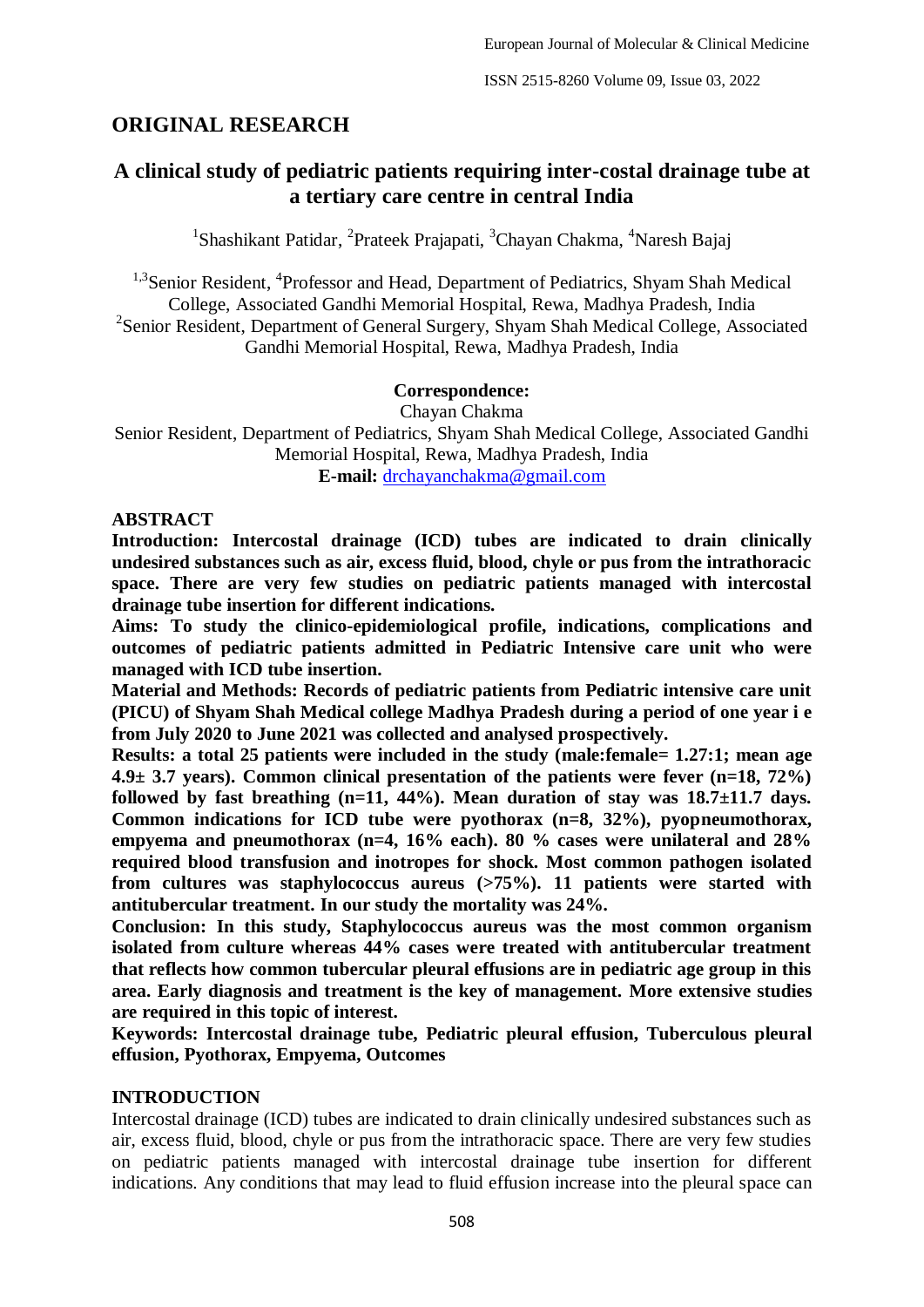# **ORIGINAL RESEARCH**

# **A clinical study of pediatric patients requiring inter-costal drainage tube at a tertiary care centre in central India**

<sup>1</sup>Shashikant Patidar, <sup>2</sup>Prateek Prajapati, <sup>3</sup>Chayan Chakma, <sup>4</sup>Naresh Bajaj

<sup>1,3</sup>Senior Resident, <sup>4</sup>Professor and Head, Department of Pediatrics, Shyam Shah Medical College, Associated Gandhi Memorial Hospital, Rewa, Madhya Pradesh, India <sup>2</sup>Senior Resident, Department of General Surgery, Shyam Shah Medical College, Associated Gandhi Memorial Hospital, Rewa, Madhya Pradesh, India

### **Correspondence:**

Chayan Chakma

Senior Resident, Department of Pediatrics, Shyam Shah Medical College, Associated Gandhi Memorial Hospital, Rewa, Madhya Pradesh, India **E-mail:** [drchayanchakma@gmail.com](mailto:drchayanchakma@gmail.com)

### **ABSTRACT**

**Introduction: Intercostal drainage (ICD) tubes are indicated to drain clinically undesired substances such as air, excess fluid, blood, chyle or pus from the intrathoracic space. There are very few studies on pediatric patients managed with intercostal drainage tube insertion for different indications.**

**Aims: To study the clinico-epidemiological profile, indications, complications and outcomes of pediatric patients admitted in Pediatric Intensive care unit who were managed with ICD tube insertion.**

**Material and Methods: Records of pediatric patients from Pediatric intensive care unit (PICU) of Shyam Shah Medical college Madhya Pradesh during a period of one year i e from July 2020 to June 2021 was collected and analysed prospectively.** 

**Results: a total 25 patients were included in the study (male:female= 1.27:1; mean age 4.9± 3.7 years). Common clinical presentation of the patients were fever (n=18, 72%) followed by fast breathing (n=11, 44%). Mean duration of stay was 18.7±11.7 days. Common indications for ICD tube were pyothorax (n=8, 32%), pyopneumothorax, empyema and pneumothorax (n=4, 16% each). 80 % cases were unilateral and 28% required blood transfusion and inotropes for shock. Most common pathogen isolated from cultures was staphylococcus aureus (>75%). 11 patients were started with antitubercular treatment. In our study the mortality was 24%.** 

**Conclusion: In this study, Staphylococcus aureus was the most common organism isolated from culture whereas 44% cases were treated with antitubercular treatment that reflects how common tubercular pleural effusions are in pediatric age group in this area. Early diagnosis and treatment is the key of management. More extensive studies are required in this topic of interest.** 

**Keywords: Intercostal drainage tube, Pediatric pleural effusion, Tuberculous pleural effusion, Pyothorax, Empyema, Outcomes**

### **INTRODUCTION**

Intercostal drainage (ICD) tubes are indicated to drain clinically undesired substances such as air, excess fluid, blood, chyle or pus from the intrathoracic space. There are very few studies on pediatric patients managed with intercostal drainage tube insertion for different indications. Any conditions that may lead to fluid effusion increase into the pleural space can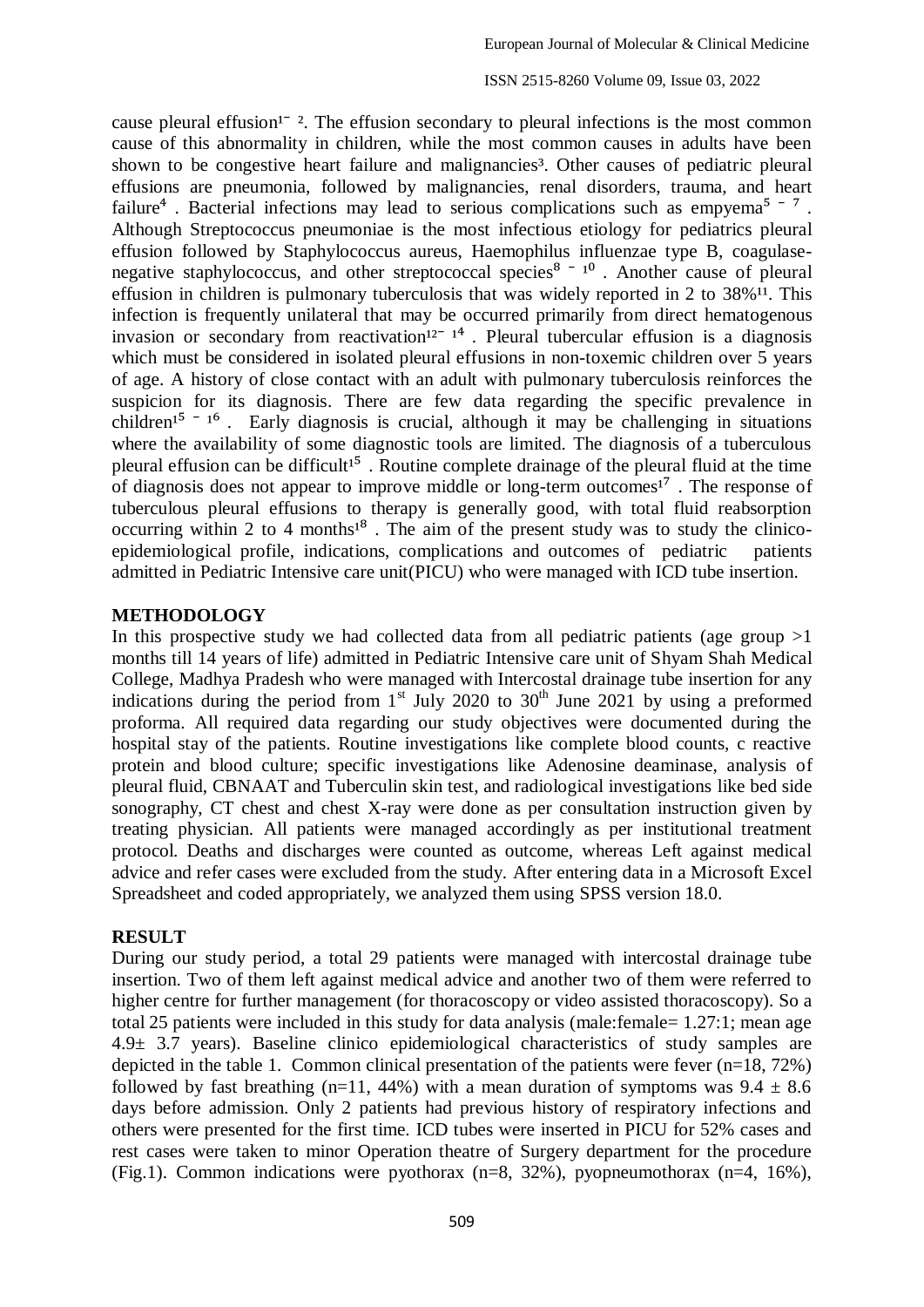ISSN 2515-8260 Volume 09, Issue 03, 2022

cause pleural effusion<sup> $1 - 2$ </sup>. The effusion secondary to pleural infections is the most common cause of this abnormality in children, while the most common causes in adults have been shown to be congestive heart failure and malignancies<sup>3</sup>. Other causes of pediatric pleural effusions are pneumonia, followed by malignancies, renal disorders, trauma, and heart failure<sup>4</sup>. Bacterial infections may lead to serious complications such as empyema<sup>5-7</sup>. Although Streptococcus pneumoniae is the most infectious etiology for pediatrics pleural effusion followed by Staphylococcus aureus, Haemophilus influenzae type B, coagulasenegative staphylococcus, and other streptococcal species $8 - 10$ . Another cause of pleural effusion in children is pulmonary tuberculosis that was widely reported in  $2$  to  $38\%$ <sup>11</sup>. This infection is frequently unilateral that may be occurred primarily from direct hematogenous invasion or secondary from reactivation<sup>12-14</sup>. Pleural tubercular effusion is a diagnosis which must be considered in isolated pleural effusions in non-toxemic children over 5 years of age. A history of close contact with an adult with pulmonary tuberculosis reinforces the suspicion for its diagnosis. There are few data regarding the specific prevalence in children<sup>15 - 16</sup>. Early diagnosis is crucial, although it may be challenging in situations where the availability of some diagnostic tools are limited. The diagnosis of a tuberculous pleural effusion can be difficult<sup>15</sup>. Routine complete drainage of the pleural fluid at the time of diagnosis does not appear to improve middle or long-term outcomes<sup> $1^7$ </sup>. The response of tuberculous pleural effusions to therapy is generally good, with total fluid reabsorption occurring within 2 to 4 months $1^8$ . The aim of the present study was to study the clinicoepidemiological profile, indications, complications and outcomes of pediatric patients admitted in Pediatric Intensive care unit(PICU) who were managed with ICD tube insertion.

#### **METHODOLOGY**

In this prospective study we had collected data from all pediatric patients (age group  $>1$ ) months till 14 years of life) admitted in Pediatric Intensive care unit of Shyam Shah Medical College, Madhya Pradesh who were managed with Intercostal drainage tube insertion for any indications during the period from  $1<sup>st</sup>$  July 2020 to 30<sup>th</sup> June 2021 by using a preformed proforma. All required data regarding our study objectives were documented during the hospital stay of the patients. Routine investigations like complete blood counts, c reactive protein and blood culture; specific investigations like Adenosine deaminase, analysis of pleural fluid, CBNAAT and Tuberculin skin test, and radiological investigations like bed side sonography, CT chest and chest X-ray were done as per consultation instruction given by treating physician. All patients were managed accordingly as per institutional treatment protocol. Deaths and discharges were counted as outcome, whereas Left against medical advice and refer cases were excluded from the study. After entering data in a Microsoft Excel Spreadsheet and coded appropriately, we analyzed them using SPSS version 18.0.

### **RESULT**

During our study period, a total 29 patients were managed with intercostal drainage tube insertion. Two of them left against medical advice and another two of them were referred to higher centre for further management (for thoracoscopy or video assisted thoracoscopy). So a total 25 patients were included in this study for data analysis (male:female= 1.27:1; mean age 4.9± 3.7 years). Baseline clinico epidemiological characteristics of study samples are depicted in the table 1. Common clinical presentation of the patients were fever (n=18, 72%) followed by fast breathing (n=11, 44%) with a mean duration of symptoms was  $9.4 \pm 8.6$ days before admission. Only 2 patients had previous history of respiratory infections and others were presented for the first time. ICD tubes were inserted in PICU for 52% cases and rest cases were taken to minor Operation theatre of Surgery department for the procedure (Fig.1). Common indications were pyothorax (n=8, 32%), pyopneumothorax (n=4, 16%),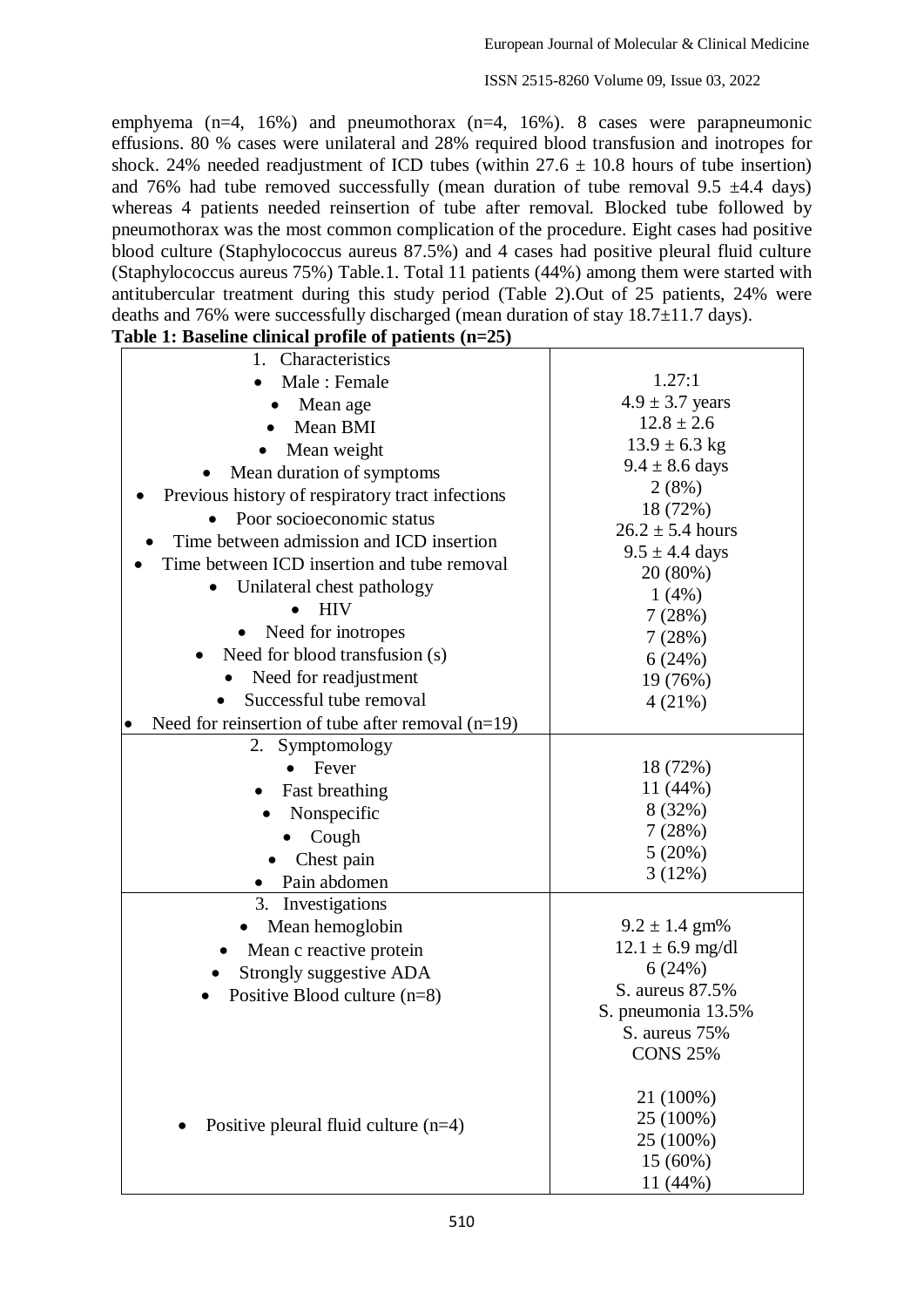ISSN 2515-8260 Volume 09, Issue 03, 2022

emphyema (n=4, 16%) and pneumothorax (n=4, 16%). 8 cases were parapneumonic effusions. 80 % cases were unilateral and 28% required blood transfusion and inotropes for shock. 24% needed readjustment of ICD tubes (within  $27.6 \pm 10.8$  hours of tube insertion) and 76% had tube removed successfully (mean duration of tube removal 9.5  $\pm$ 4.4 days) whereas 4 patients needed reinsertion of tube after removal. Blocked tube followed by pneumothorax was the most common complication of the procedure. Eight cases had positive blood culture (Staphylococcus aureus 87.5%) and 4 cases had positive pleural fluid culture (Staphylococcus aureus 75%) Table.1. Total 11 patients (44%) among them were started with antitubercular treatment during this study period (Table 2).Out of 25 patients, 24% were deaths and 76% were successfully discharged (mean duration of stay 18.7 $\pm$ 11.7 days).<br>Table 1: Baseline clinical profile of patients (p=25) **Table 1: Baseline clinical profile of patients (n=25)**

| Lable 1: Baseline clinical profile of patients (n=25)            |                                |
|------------------------------------------------------------------|--------------------------------|
| 1. Characteristics                                               |                                |
| Male: Female                                                     | 1.27:1                         |
| Mean age                                                         | $4.9 \pm 3.7$ years            |
| Mean BMI                                                         | $12.8 \pm 2.6$                 |
| Mean weight                                                      | $13.9 \pm 6.3$ kg              |
| Mean duration of symptoms                                        | $9.4 \pm 8.6$ days             |
| Previous history of respiratory tract infections                 | 2(8%)                          |
| Poor socioeconomic status                                        | 18 (72%)                       |
| Time between admission and ICD insertion                         | $26.2 \pm 5.4$ hours           |
| Time between ICD insertion and tube removal                      | $9.5 \pm 4.4$ days<br>20 (80%) |
| Unilateral chest pathology                                       | 1(4%)                          |
| <b>HIV</b><br>$\bullet$                                          | 7(28%)                         |
| Need for inotropes                                               | 7(28%)                         |
| Need for blood transfusion (s)                                   | 6(24%)                         |
| Need for readjustment                                            | 19 (76%)                       |
| Successful tube removal                                          | 4(21%)                         |
| Need for reinsertion of tube after removal $(n=19)$<br>$\bullet$ |                                |
| 2. Symptomology                                                  |                                |
| Fever                                                            | 18 (72%)                       |
| Fast breathing                                                   | 11 (44%)                       |
| Nonspecific                                                      | 8 (32%)                        |
| Cough                                                            | 7(28%)                         |
| Chest pain                                                       | 5(20%)                         |
| Pain abdomen                                                     | 3(12%)                         |
| 3.<br>Investigations                                             |                                |
| Mean hemoglobin                                                  | $9.2 \pm 1.4$ gm%              |
| Mean c reactive protein                                          | $12.1 \pm 6.9$ mg/dl           |
| Strongly suggestive ADA                                          | 6(24%)                         |
| Positive Blood culture $(n=8)$                                   | S. aureus 87.5%                |
|                                                                  | S. pneumonia 13.5%             |
|                                                                  | S. aureus 75%                  |
|                                                                  | <b>CONS 25%</b>                |
|                                                                  | 21 (100%)                      |
|                                                                  | 25 (100%)                      |
| Positive pleural fluid culture $(n=4)$                           | 25 (100%)                      |
|                                                                  | 15 (60%)                       |
|                                                                  | 11 (44%)                       |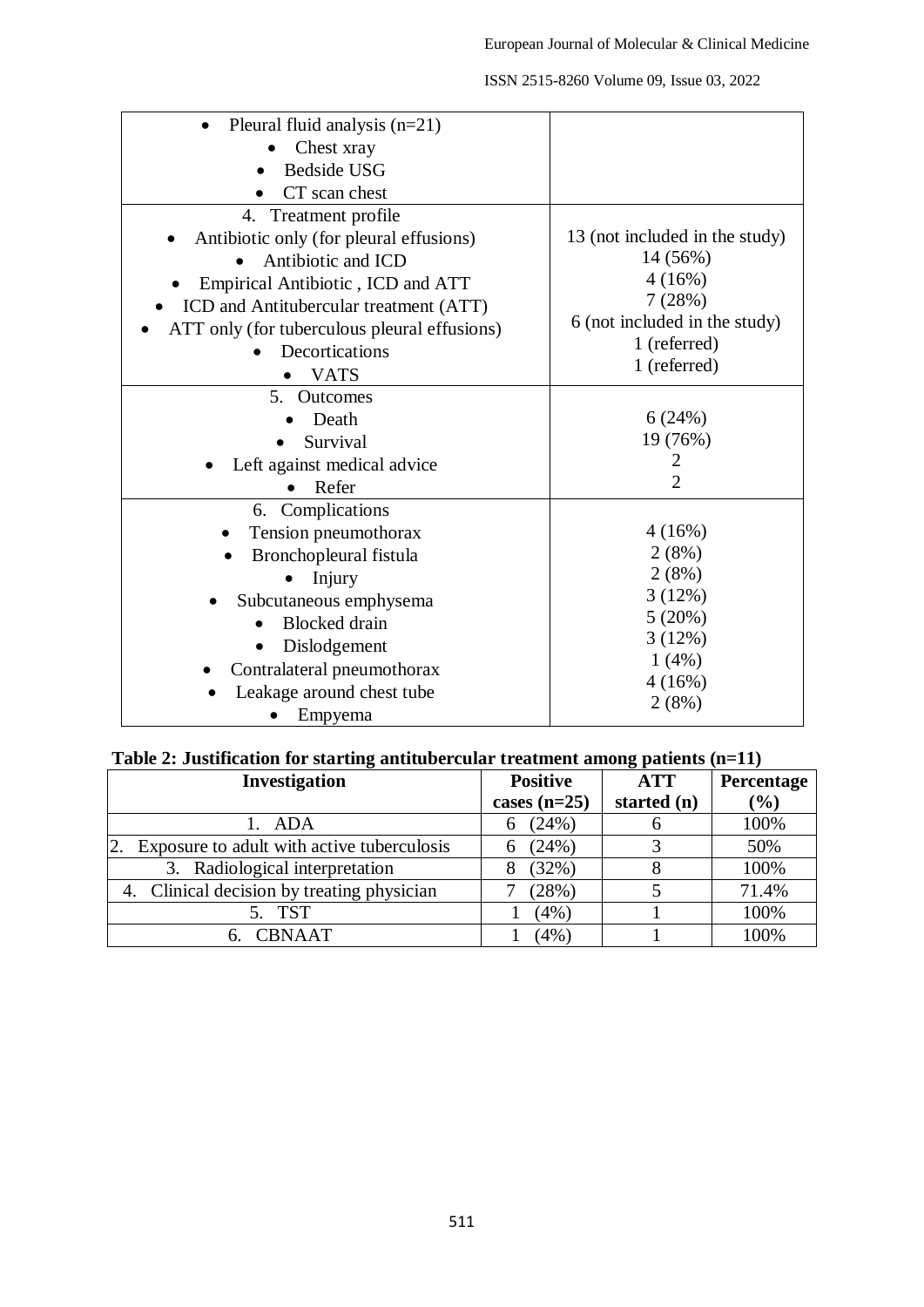| ISSN 2515-8260 Volume 09, Issue 03, 2022 |  |  |  |
|------------------------------------------|--|--|--|
|------------------------------------------|--|--|--|

| Pleural fluid analysis $(n=21)$              |                                |
|----------------------------------------------|--------------------------------|
| Chest xray                                   |                                |
| <b>Bedside USG</b>                           |                                |
| CT scan chest                                |                                |
| 4. Treatment profile                         |                                |
| Antibiotic only (for pleural effusions)      | 13 (not included in the study) |
| Antibiotic and ICD                           | 14 (56%)                       |
| Empirical Antibiotic, ICD and ATT            | 4(16%)                         |
| ICD and Antitubercular treatment (ATT)       | 7(28%)                         |
| ATT only (for tuberculous pleural effusions) | 6 (not included in the study)  |
| Decortications                               | 1 (referred)                   |
| <b>VATS</b>                                  | 1 (referred)                   |
| 5. Outcomes                                  |                                |
| Death                                        | 6(24%)                         |
| Survival                                     | 19 (76%)                       |
| Left against medical advice                  | 2                              |
| Refer                                        | $\overline{2}$                 |
| 6. Complications                             |                                |
| Tension pneumothorax                         | 4(16%)                         |
| Bronchopleural fistula                       | 2(8%)                          |
| Injury                                       | 2(8%)                          |
| Subcutaneous emphysema                       | 3(12%)                         |
| <b>Blocked</b> drain                         | 5(20%)                         |
| Dislodgement                                 | 3(12%)                         |
| Contralateral pneumothorax                   | $1(4\%)$                       |
| Leakage around chest tube                    | 4(16%)                         |
| Empyema                                      | 2(8%)                          |

|  |  | Table 2: Justification for starting antitubercular treatment among patients (n=11) |
|--|--|------------------------------------------------------------------------------------|
|  |  |                                                                                    |

| Investigation                                    | <b>Positive</b> | <b>ATT</b>  | Percentage |
|--------------------------------------------------|-----------------|-------------|------------|
|                                                  | cases $(n=25)$  | started (n) | (%)        |
| 1. ADA                                           | (24%)<br>6      |             | 100%       |
| 2.<br>Exposure to adult with active tuberculosis | (24%)<br>6      |             | 50%        |
| 3. Radiological interpretation                   | (32%)<br>8      |             | 100%       |
| 4. Clinical decision by treating physician       | (28%)           |             | 71.4%      |
| 5. TST                                           | (4%)            |             | 100%       |
| 6. CBNAAT                                        | (4% )           |             | 100%       |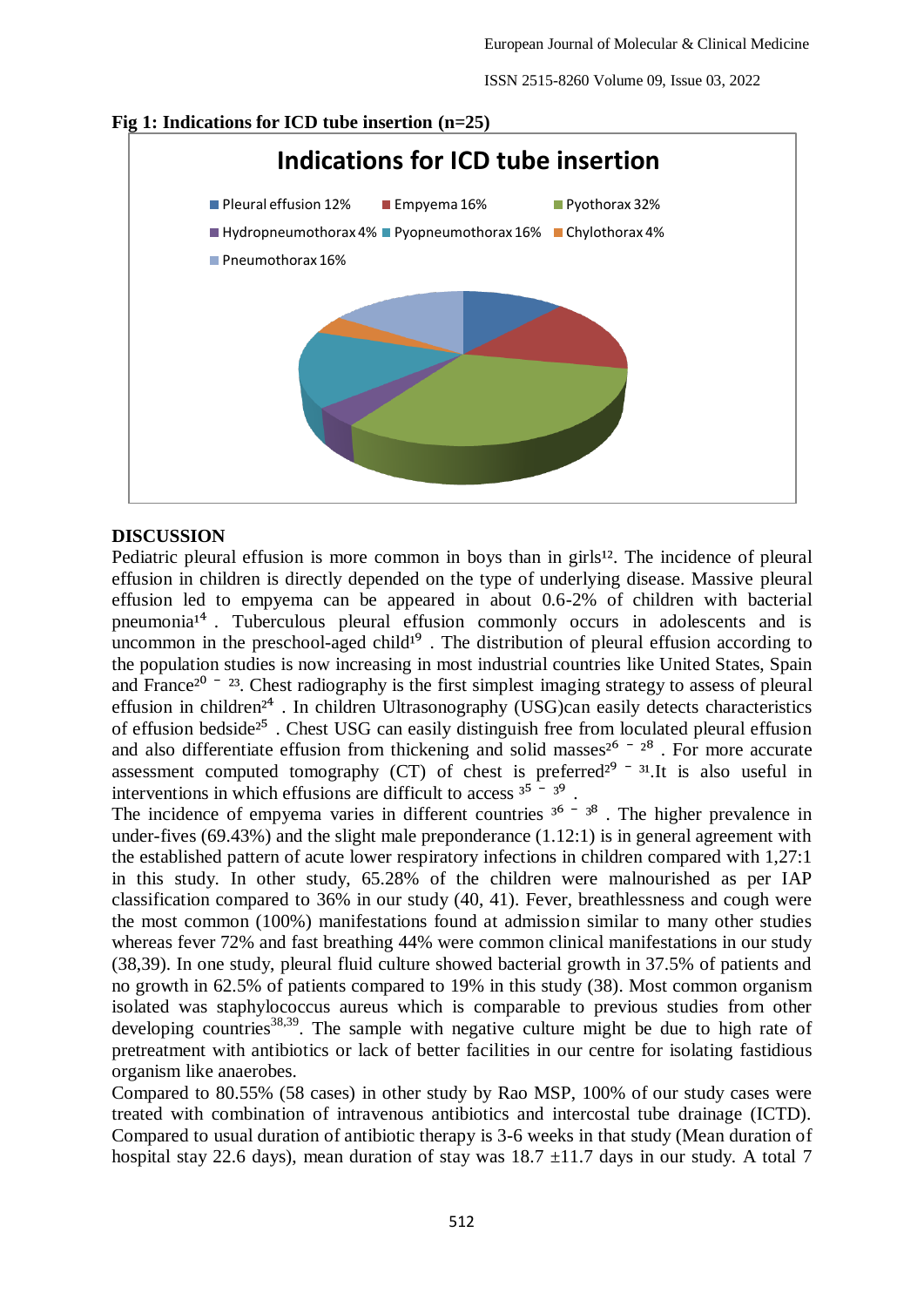ISSN 2515-8260 Volume 09, Issue 03, 2022



# **Fig 1: Indications for ICD tube insertion (n=25)**

# **DISCUSSION**

Pediatric pleural effusion is more common in boys than in girls<sup>12</sup>. The incidence of pleural effusion in children is directly depended on the type of underlying disease. Massive pleural effusion led to empyema can be appeared in about 0.6-2% of children with bacterial pneumonia<sup> $1<sup>4</sup>$ . Tuberculous pleural effusion commonly occurs in adolescents and is</sup> uncommon in the preschool-aged child<sup>19</sup>. The distribution of pleural effusion according to the population studies is now increasing in most industrial countries like United States, Spain and France<sup> $2^0$  –  $^{23}$ . Chest radiography is the first simplest imaging strategy to assess of pleural</sup> effusion in children<sup>24</sup>. In children Ultrasonography (USG)can easily detects characteristics of effusion bedside<sup>25</sup>. Chest USG can easily distinguish free from loculated pleural effusion and also differentiate effusion from thickening and solid masses<sup> $2^6 - 2^8$ </sup>. For more accurate assessment computed tomography (CT) of chest is preferred $2^9$   $-$  31. It is also useful in interventions in which effusions are difficult to access  $3^5 - 3^9$ .

The incidence of empyema varies in different countries  $3^6 - 3^8$ . The higher prevalence in under-fives (69.43%) and the slight male preponderance (1.12:1) is in general agreement with the established pattern of acute lower respiratory infections in children compared with 1,27:1 in this study. In other study, 65.28% of the children were malnourished as per IAP classification compared to 36% in our study (40, 41). Fever, breathlessness and cough were the most common (100%) manifestations found at admission similar to many other studies whereas fever 72% and fast breathing 44% were common clinical manifestations in our study (38,39). In one study, pleural fluid culture showed bacterial growth in 37.5% of patients and no growth in 62.5% of patients compared to 19% in this study (38). Most common organism isolated was staphylococcus aureus which is comparable to previous studies from other developing countries<sup>38,39</sup>. The sample with negative culture might be due to high rate of pretreatment with antibiotics or lack of better facilities in our centre for isolating fastidious organism like anaerobes.

Compared to 80.55% (58 cases) in other study by Rao MSP, 100% of our study cases were treated with combination of intravenous antibiotics and intercostal tube drainage (ICTD). Compared to usual duration of antibiotic therapy is 3-6 weeks in that study (Mean duration of hospital stay 22.6 days), mean duration of stay was  $18.7 \pm 11.7$  days in our study. A total 7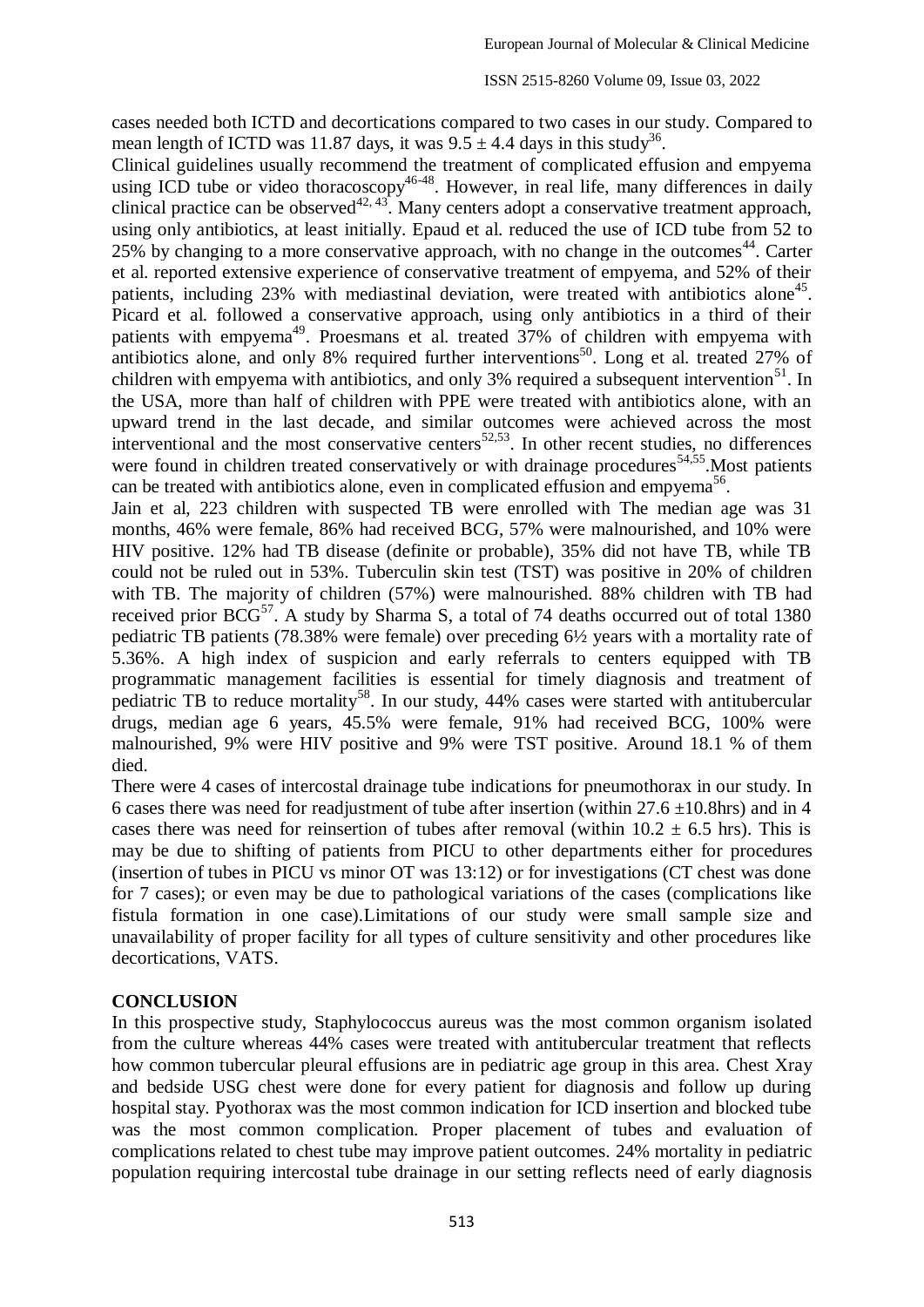cases needed both ICTD and decortications compared to two cases in our study. Compared to mean length of ICTD was 11.87 days, it was  $9.5 \pm 4.4$  days in this study<sup>36</sup>.

Clinical guidelines usually recommend the treatment of complicated effusion and empyema using ICD tube or video thoracoscopy<sup>46-48</sup>. However, in real life, many differences in daily clinical practice can be observed<sup>42, 43</sup>. Many centers adopt a conservative treatment approach, using only antibiotics, at least initially. Epaud et al. reduced the use of ICD tube from 52 to 25% by changing to a more conservative approach, with no change in the outcomes<sup>44</sup>. Carter et al. reported extensive experience of conservative treatment of empyema, and 52% of their patients, including 23% with mediastinal deviation, were treated with antibiotics alone<sup>45</sup>. Picard et al. followed a conservative approach, using only antibiotics in a third of their patients with empyema<sup>49</sup>. Proesmans et al. treated  $\frac{5}{27}$ % of children with empyema with patients with empyering a recent contains of an about 57.78 of containing the contributions alone, and only 8% required further interventions<sup>50</sup>. Long et al. treated 27% of children with empyema with antibiotics, and only 3% required a subsequent intervention<sup>51</sup>. In the USA, more than half of children with PPE were treated with antibiotics alone, with an upward trend in the last decade, and similar outcomes were achieved across the most interventional and the most conservative centers $52,53$ . In other recent studies, no differences were found in children treated conservatively or with drainage procedures<sup>54,55</sup>. Most patients can be treated with antibiotics alone, even in complicated effusion and empyema<sup>56</sup>.

Jain et al, 223 children with suspected TB were enrolled with The median age was 31 months, 46% were female, 86% had received BCG, 57% were malnourished, and 10% were HIV positive. 12% had TB disease (definite or probable), 35% did not have TB, while TB could not be ruled out in 53%. Tuberculin skin test (TST) was positive in 20% of children with TB. The majority of children (57%) were malnourished. 88% children with TB had received prior  $BCG^{57}$ . A study by Sharma S, a total of 74 deaths occurred out of total 1380 pediatric TB patients (78.38% were female) over preceding 6½ years with a mortality rate of 5.36%. A high index of suspicion and early referrals to centers equipped with TB programmatic management facilities is essential for timely diagnosis and treatment of pediatric TB to reduce mortality<sup>58</sup>. In our study, 44% cases were started with antitubercular drugs, median age 6 years, 45.5% were female, 91% had received BCG, 100% were malnourished, 9% were HIV positive and 9% were TST positive. Around 18.1 % of them died.

There were 4 cases of intercostal drainage tube indications for pneumothorax in our study. In 6 cases there was need for readjustment of tube after insertion (within  $27.6 \pm 10.8$ hrs) and in 4 cases there was need for reinsertion of tubes after removal (within  $10.2 \pm 6.5$  hrs). This is may be due to shifting of patients from PICU to other departments either for procedures (insertion of tubes in PICU vs minor OT was 13:12) or for investigations (CT chest was done for 7 cases); or even may be due to pathological variations of the cases (complications like fistula formation in one case).Limitations of our study were small sample size and unavailability of proper facility for all types of culture sensitivity and other procedures like decortications, VATS.

#### **CONCLUSION**

In this prospective study, Staphylococcus aureus was the most common organism isolated from the culture whereas 44% cases were treated with antitubercular treatment that reflects how common tubercular pleural effusions are in pediatric age group in this area. Chest Xray and bedside USG chest were done for every patient for diagnosis and follow up during hospital stay. Pyothorax was the most common indication for ICD insertion and blocked tube was the most common complication. Proper placement of tubes and evaluation of complications related to chest tube may improve patient outcomes. 24% mortality in pediatric population requiring intercostal tube drainage in our setting reflects need of early diagnosis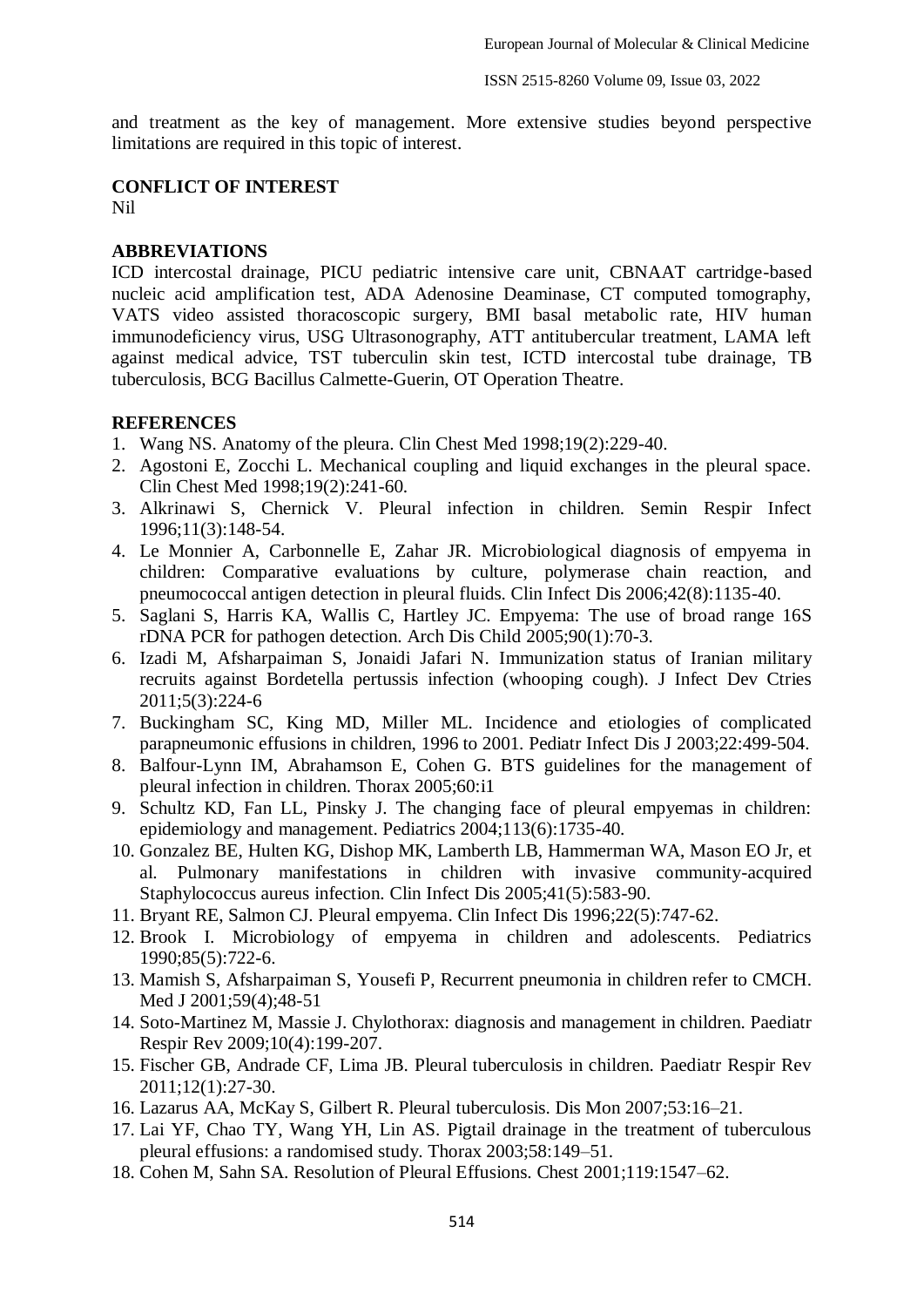and treatment as the key of management. More extensive studies beyond perspective limitations are required in this topic of interest.

#### **CONFLICT OF INTEREST**

Nil

### **ABBREVIATIONS**

ICD intercostal drainage, PICU pediatric intensive care unit, CBNAAT cartridge-based nucleic acid amplification test, ADA Adenosine Deaminase, CT computed tomography, VATS video assisted thoracoscopic surgery, BMI basal metabolic rate, HIV human immunodeficiency virus, USG Ultrasonography, ATT antitubercular treatment, LAMA left against medical advice, TST tuberculin skin test, ICTD intercostal tube drainage, TB tuberculosis, BCG Bacillus Calmette-Guerin, OT Operation Theatre.

#### **REFERENCES**

- 1. Wang NS. Anatomy of the pleura. Clin Chest Med 1998;19(2):229-40.
- 2. Agostoni E, Zocchi L. Mechanical coupling and liquid exchanges in the pleural space. Clin Chest Med 1998;19(2):241-60.
- 3. Alkrinawi S, Chernick V. Pleural infection in children. Semin Respir Infect 1996;11(3):148-54.
- 4. Le Monnier A, Carbonnelle E, Zahar JR. Microbiological diagnosis of empyema in children: Comparative evaluations by culture, polymerase chain reaction, and pneumococcal antigen detection in pleural fluids. Clin Infect Dis 2006;42(8):1135-40.
- 5. Saglani S, Harris KA, Wallis C, Hartley JC. Empyema: The use of broad range 16S rDNA PCR for pathogen detection. Arch Dis Child 2005;90(1):70-3.
- 6. Izadi M, Afsharpaiman S, Jonaidi Jafari N. Immunization status of Iranian military recruits against Bordetella pertussis infection (whooping cough). J Infect Dev Ctries 2011;5(3):224-6
- 7. Buckingham SC, King MD, Miller ML. Incidence and etiologies of complicated parapneumonic effusions in children, 1996 to 2001. Pediatr Infect Dis J 2003;22:499-504.
- 8. Balfour-Lynn IM, Abrahamson E, Cohen G. BTS guidelines for the management of pleural infection in children. Thorax 2005;60:i1
- 9. Schultz KD, Fan LL, Pinsky J. The changing face of pleural empyemas in children: epidemiology and management. Pediatrics 2004;113(6):1735-40.
- 10. Gonzalez BE, Hulten KG, Dishop MK, Lamberth LB, Hammerman WA, Mason EO Jr, et al. Pulmonary manifestations in children with invasive community-acquired Staphylococcus aureus infection. Clin Infect Dis 2005;41(5):583-90.
- 11. Bryant RE, Salmon CJ. Pleural empyema. Clin Infect Dis 1996;22(5):747-62.
- 12. Brook I. Microbiology of empyema in children and adolescents. Pediatrics 1990;85(5):722-6.
- 13. Mamish S, Afsharpaiman S, Yousefi P, Recurrent pneumonia in children refer to CMCH. Med J 2001;59(4);48-51
- 14. Soto-Martinez M, Massie J. Chylothorax: diagnosis and management in children. Paediatr Respir Rev 2009;10(4):199-207.
- 15. Fischer GB, Andrade CF, Lima JB. Pleural tuberculosis in children. Paediatr Respir Rev 2011;12(1):27-30.
- 16. Lazarus AA, McKay S, Gilbert R. Pleural tuberculosis. Dis Mon 2007;53:16–21.
- 17. Lai YF, Chao TY, Wang YH, Lin AS. Pigtail drainage in the treatment of tuberculous pleural effusions: a randomised study. Thorax 2003;58:149–51.
- 18. Cohen M, Sahn SA. Resolution of Pleural Effusions. Chest 2001;119:1547–62.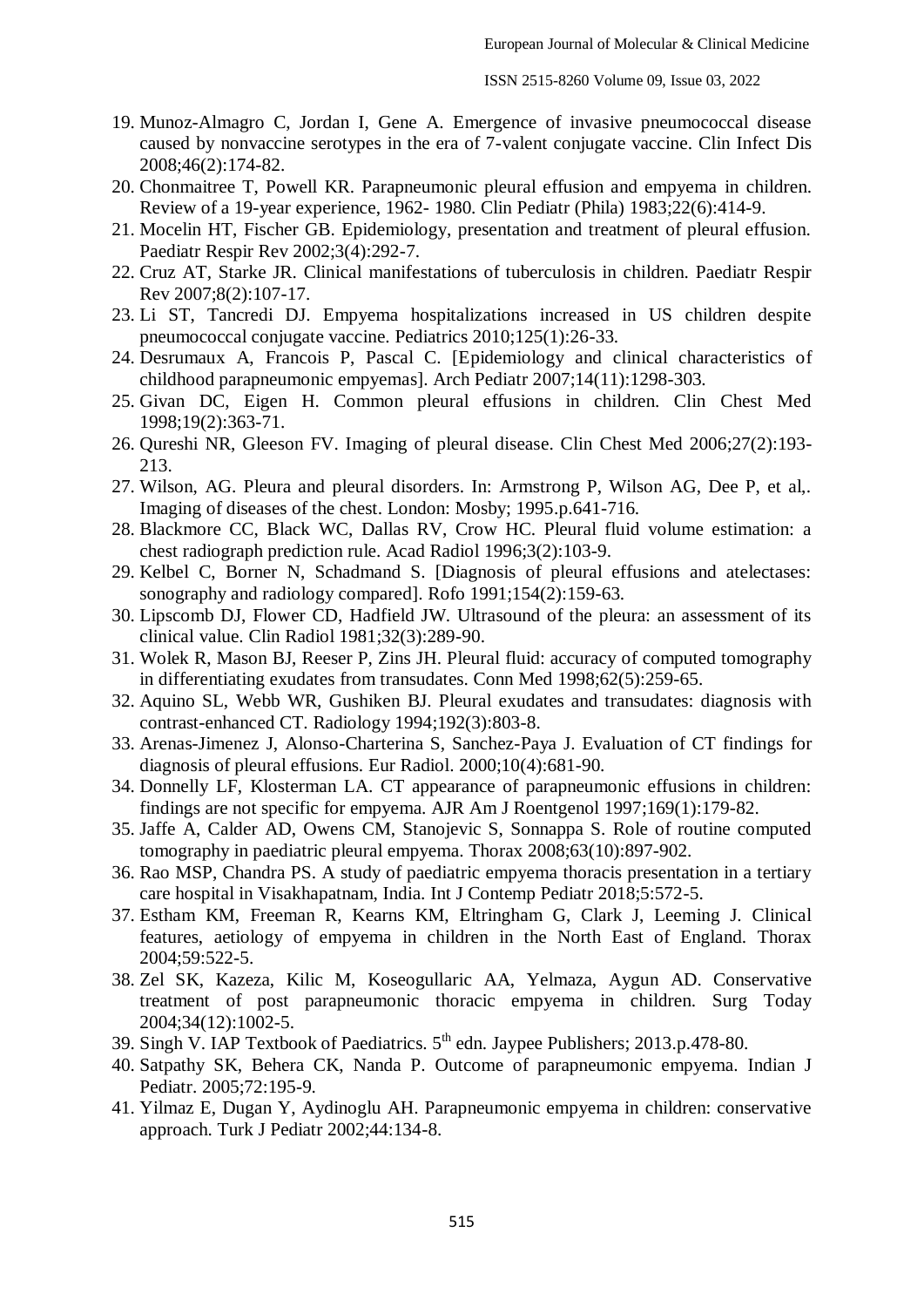- 19. Munoz-Almagro C, Jordan I, Gene A. Emergence of invasive pneumococcal disease caused by nonvaccine serotypes in the era of 7-valent conjugate vaccine. Clin Infect Dis 2008;46(2):174-82.
- 20. Chonmaitree T, Powell KR. Parapneumonic pleural effusion and empyema in children. Review of a 19-year experience, 1962- 1980. Clin Pediatr (Phila) 1983;22(6):414-9.
- 21. Mocelin HT, Fischer GB. Epidemiology, presentation and treatment of pleural effusion. Paediatr Respir Rev 2002;3(4):292-7.
- 22. Cruz AT, Starke JR. Clinical manifestations of tuberculosis in children. Paediatr Respir Rev 2007;8(2):107-17.
- 23. Li ST, Tancredi DJ. Empyema hospitalizations increased in US children despite pneumococcal conjugate vaccine. Pediatrics 2010;125(1):26-33.
- 24. Desrumaux A, Francois P, Pascal C. [Epidemiology and clinical characteristics of childhood parapneumonic empyemas]. Arch Pediatr 2007;14(11):1298-303.
- 25. Givan DC, Eigen H. Common pleural effusions in children. Clin Chest Med 1998;19(2):363-71.
- 26. Qureshi NR, Gleeson FV. Imaging of pleural disease. Clin Chest Med 2006;27(2):193- 213.
- 27. Wilson, AG. Pleura and pleural disorders. In: Armstrong P, Wilson AG, Dee P, et al,. Imaging of diseases of the chest. London: Mosby; 1995.p.641-716.
- 28. Blackmore CC, Black WC, Dallas RV, Crow HC. Pleural fluid volume estimation: a chest radiograph prediction rule. Acad Radiol 1996;3(2):103-9.
- 29. Kelbel C, Borner N, Schadmand S. [Diagnosis of pleural effusions and atelectases: sonography and radiology compared]. Rofo 1991;154(2):159-63.
- 30. Lipscomb DJ, Flower CD, Hadfield JW. Ultrasound of the pleura: an assessment of its clinical value. Clin Radiol 1981;32(3):289-90.
- 31. Wolek R, Mason BJ, Reeser P, Zins JH. Pleural fluid: accuracy of computed tomography in differentiating exudates from transudates. Conn Med 1998;62(5):259-65.
- 32. Aquino SL, Webb WR, Gushiken BJ. Pleural exudates and transudates: diagnosis with contrast-enhanced CT. Radiology 1994;192(3):803-8.
- 33. Arenas-Jimenez J, Alonso-Charterina S, Sanchez-Paya J. Evaluation of CT findings for diagnosis of pleural effusions. Eur Radiol. 2000;10(4):681-90.
- 34. Donnelly LF, Klosterman LA. CT appearance of parapneumonic effusions in children: findings are not specific for empyema. AJR Am J Roentgenol 1997;169(1):179-82.
- 35. Jaffe A, Calder AD, Owens CM, Stanojevic S, Sonnappa S. Role of routine computed tomography in paediatric pleural empyema. Thorax 2008;63(10):897-902.
- 36. Rao MSP, Chandra PS. A study of paediatric empyema thoracis presentation in a tertiary care hospital in Visakhapatnam, India. Int J Contemp Pediatr 2018;5:572-5.
- 37. Estham KM, Freeman R, Kearns KM, Eltringham G, Clark J, Leeming J. Clinical features, aetiology of empyema in children in the North East of England. Thorax 2004;59:522-5.
- 38. Zel SK, Kazeza, Kilic M, Koseogullaric AA, Yelmaza, Aygun AD. Conservative treatment of post parapneumonic thoracic empyema in children. Surg Today 2004;34(12):1002-5.
- 39. Singh V. IAP Textbook of Paediatrics.  $5<sup>th</sup>$  edn. Jaypee Publishers; 2013.p.478-80.
- 40. Satpathy SK, Behera CK, Nanda P. Outcome of parapneumonic empyema. Indian J Pediatr. 2005;72:195-9.
- 41. Yilmaz E, Dugan Y, Aydinoglu AH. Parapneumonic empyema in children: conservative approach. Turk J Pediatr 2002;44:134-8.